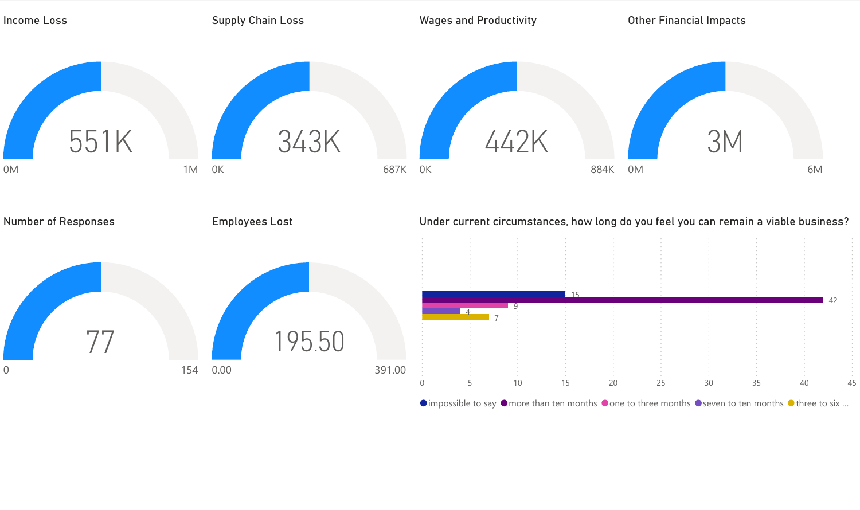

 $\bullet$  impossible to say  $\bullet$  more than ten months  $\bullet$  one to three months  $\bullet$  seven to ten months  $\bullet$  three to six ...